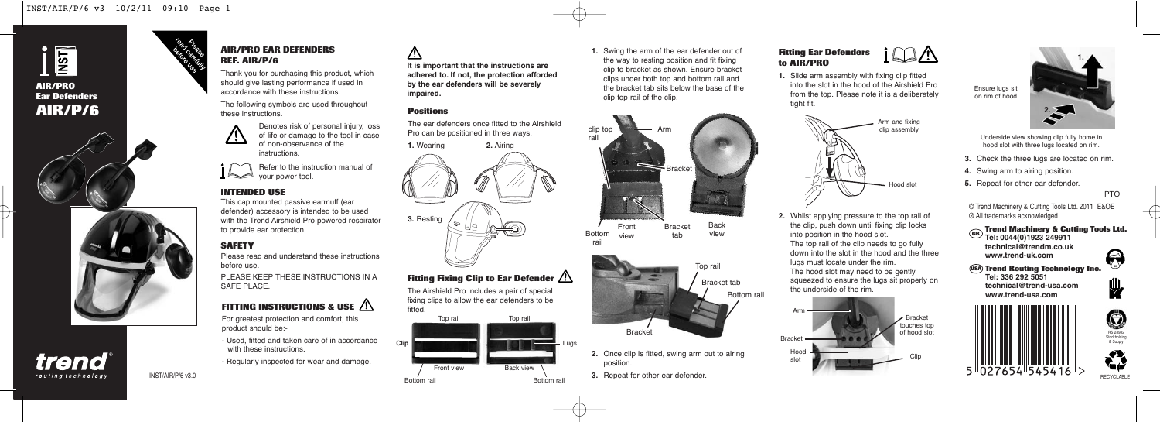

trend routing technology

#### **AIR/PRO EAR DEFENDERS REF. AIR/P/6**

Thank you for purchasing this product, which should give lasting performance if used in accordance with these instructions.

The following symbols are used throughout these instructions.



Refer to the instruction manual of  $\blacksquare$  your power tool.

# **INTENDED USE**

This cap mounted passive earmuff (ear defender) accessory is intended to be used with the Trend Airshield Pro powered respirator to provide ear protection.

# **SAFETY**

Please read and understand these instructions before use.

PLEASE KEEP THESE INSTRUCTIONS IN A SAFF PLACE.

# **FITTING INSTRUCTIONS & USE**

For greatest protection and comfort, this product should be:-

- Used, fitted and taken care of in accordance with these instructions.
- Regularly inspected for wear and damage.

INST/AIR/P/6 v3.0

**It is important that the instructions are adhered to. If not, the protection afforded by the ear defenders will be severely impaired.**

#### **Positions**

⚠

The ear defenders once fitted to the Airshield Pro can be positioned in three ways.



# **Fitting Fixing Clip to Ear Defender**

The Airshield Pro includes a pair of special fixing clips to allow the ear defenders to be fitted.



**1.** Swing the arm of the ear defender out of the way to resting position and fit fixing clip to bracket as shown. Ensure bracket clips under both top and bottom rail and the bracket tab sits below the base of the clip top rail of the clip.



Front Bottom <sub>view</sub> Back view Bracket tab



- **2.** Once clip is fitted, swing arm out to airing position.
- **3.** Repeat for other ear defender.

# **Fitting Ear Defenders to AIR/PRO**

**1.** Slide arm assembly with fixing clip fitted into the slot in the hood of the Airshield Pro from the top. Please note it is a deliberately tight fit.



**2.** Whilst applying pressure to the top rail of the clip, push down until fixing clip locks into position in the hood slot. The top rail of the clip needs to go fully down into the slot in the hood and the three lugs must locate under the rim. The hood slot may need to be gently squeezed to ensure the lugs sit properly on the underside of the rim.





Underside view showing clip fully home in hood slot with three lugs located on rim.

- **3.** Check the three lugs are located on rim.
- **4.** Swing arm to airing position.
- **5.** Repeat for other ear defender.

PTO

 $\boldsymbol{\Theta}$ 

 $\mathbf{\Psi}$ 

© Trend Machinery & Cutting Tools Ltd. 2011 E&OE ® All trademarks acknowledged

**Trend Machinery & Cutting Tools Ltd. Tel: 0044(0)1923 249911 GB**

**technical@trendm.co.uk www.trend-uk.com**





€ RECYCLABLE

RS 28982 Stockholding & Supply

 $\bigcirc$ 



rail